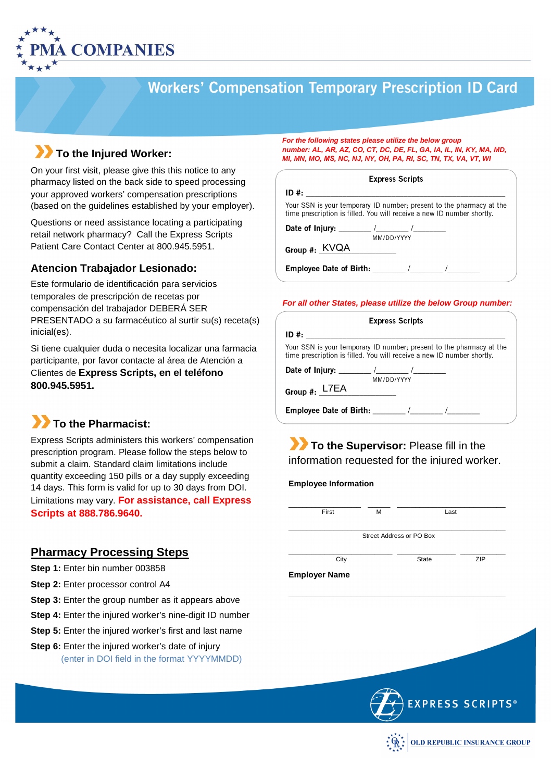

# **Workers' Compensation Temporary Prescription ID Card**

## **To the Injured Worker:**

On your first visit, please give this this notice to any pharmacy listed on the back side to speed processing your approved workers' compensation prescriptions (based on the guidelines established by your employer).

Questions or need assistance locating a participating retail network pharmacy? Call the Express Scripts Patient Care Contact Center at 800.945.5951.

### **Atencion Trabajador Lesionado:**

Este formulario de identificación para servicios temporales de prescripción de recetas por compensación del trabajador DEBERÁ SER PRESENTADO a su farmacéutico al surtir su(s) receta(s) inicial(es).

Si tiene cualquier duda o necesita localizar una farmacia participante, por favor contacte al área de Atención a Clientes de **Express Scripts, en el teléfono 800.945.5951.**

## **To the Pharmacist:**

Express Scripts administers this workers' compensation prescription program. Please follow the steps below to submit a claim. Standard claim limitations include quantity exceeding 150 pills or a day supply exceeding 14 days. This form is valid for up to 30 days from DOI. Limitations may vary. **For assistance, call Express Scripts at 888.786.9640.** 

### **Pharmacy Processing Steps**

- **Step 1:** Enter bin number 003858
- **Step 2:** Enter processor control A4
- **Step 3:** Enter the group number as it appears above
- **Step 4:** Enter the injured worker's nine-digit ID number
- **Step 5:** Enter the injured worker's first and last name
- **Step 6:** Enter the injured worker's date of injury (enter in DOI field in the format YYYYMMDD)

**For the following states please utilize the below group number: AL,** *AR, AZ, CO,* **CT, DC, DE, FL, GA, IA, IL, IN, KY, MA, MD, MI, MN, MO,** *MS,* **NC, NJ, NY,** *OH,* **PA, RI, SC, TN, TX, VA, VT, WI** 

#### **Express Scripts**

| ID#                                                                                                                                            |
|------------------------------------------------------------------------------------------------------------------------------------------------|
| Your SSN is your temporary ID number; present to the pharmacy at the<br>time prescription is filled. You will receive a new ID number shortly. |
| Date of Injury: the act of Injury:                                                                                                             |
| MM/DD/YYYY                                                                                                                                     |
| Group #: KVQA                                                                                                                                  |
|                                                                                                                                                |
|                                                                                                                                                |

#### **For all other States, please utilize the below Group number:**

| <b>Express Scripts</b>                                                                                                                         |  |  |  |  |
|------------------------------------------------------------------------------------------------------------------------------------------------|--|--|--|--|
| ID #:                                                                                                                                          |  |  |  |  |
| Your SSN is your temporary ID number, present to the pharmacy at the<br>time prescription is filled. You will receive a new ID number shortly. |  |  |  |  |
| Date of Injury: the first state of Injury:                                                                                                     |  |  |  |  |
| MM/DD/YYYY                                                                                                                                     |  |  |  |  |
| Group #: L7EA                                                                                                                                  |  |  |  |  |
| Employee Date of Birth: The Manuson of American American American American American American American American                                 |  |  |  |  |

### **To the Supervisor:** Please fill in the information requested for the injured worker.

#### **Employee Information**

| First                | М                        | Last         |            |
|----------------------|--------------------------|--------------|------------|
|                      | Street Address or PO Box |              |            |
| City                 |                          | <b>State</b> | <b>ZIP</b> |
| <b>Employer Name</b> |                          |              |            |

**\_\_\_\_\_\_\_\_\_\_\_\_\_\_\_\_\_\_\_\_\_\_\_\_\_\_\_\_\_\_\_\_\_\_\_\_\_\_\_\_\_\_\_\_\_\_\_\_**



**EXPRESS SCRIPTS®**